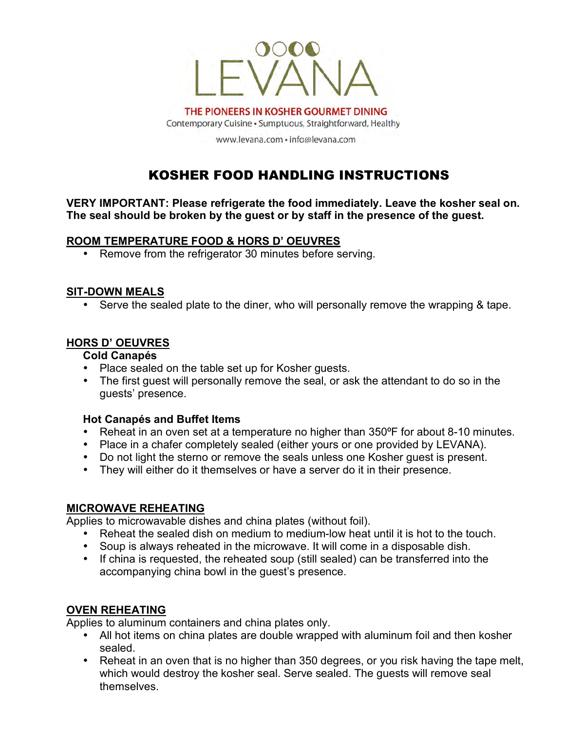

THE PIONEERS IN KOSHER GOURMET DINING Contemporary Cuisine · Sumptuous, Straightforward, Healthy

www.levana.com · info@levana.com

# KOSHER FOOD HANDLING INSTRUCTIONS

**VERY IMPORTANT: Please refrigerate the food immediately. Leave the kosher seal on. The seal should be broken by the guest or by staff in the presence of the guest.**

# **ROOM TEMPERATURE FOOD & HORS D' OEUVRES**

• Remove from the refrigerator 30 minutes before serving.

#### **SIT-DOWN MEALS**

• Serve the sealed plate to the diner, who will personally remove the wrapping & tape.

# **HORS D' OEUVRES**

# **Cold Canapés**

- Place sealed on the table set up for Kosher guests.
- The first guest will personally remove the seal, or ask the attendant to do so in the guests' presence.

#### **Hot Canapés and Buffet Items**

- Reheat in an oven set at a temperature no higher than 350ºF for about 8-10 minutes.
- Place in a chafer completely sealed (either yours or one provided by LEVANA).
- Do not light the sterno or remove the seals unless one Kosher guest is present.
- They will either do it themselves or have a server do it in their presence.

#### **MICROWAVE REHEATING**

Applies to microwavable dishes and china plates (without foil).

- Reheat the sealed dish on medium to medium-low heat until it is hot to the touch.
- Soup is always reheated in the microwave. It will come in a disposable dish.
- If china is requested, the reheated soup (still sealed) can be transferred into the accompanying china bowl in the guest's presence.

# **OVEN REHEATING**

Applies to aluminum containers and china plates only.

- All hot items on china plates are double wrapped with aluminum foil and then kosher sealed.
- Reheat in an oven that is no higher than 350 degrees, or you risk having the tape melt, which would destroy the kosher seal. Serve sealed. The guests will remove seal themselves.